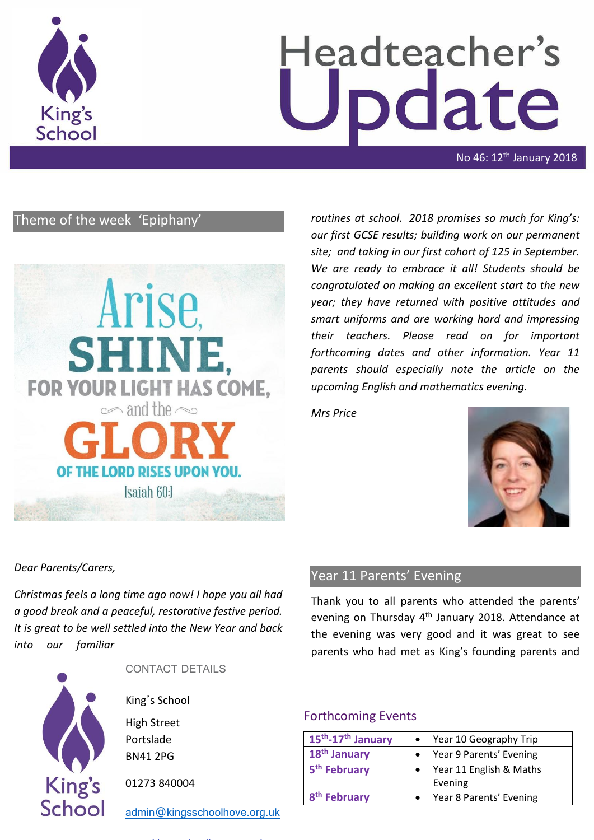

# Headteacher's date

No 46: 12<sup>th</sup> January 2018

# Theme of the week 'Epiphany'



*routines at school. 2018 promises so much for King's: our first GCSE results; building work on our permanent site; and taking in our first cohort of 125 in September. We are ready to embrace it all! Students should be congratulated on making an excellent start to the new year; they have returned with positive attitudes and smart uniforms and are working hard and impressing their teachers. Please read on for important forthcoming dates and other information. Year 11 parents should especially note the article on the upcoming English and mathematics evening.* 

*Mrs Price*



*Dear Parents/Carers,*

*Christmas feels a long time ago now! I hope you all had a good break and a peaceful, restorative festive period. It is great to be well settled into the New Year and back into our familiar* 



CONTACT DETAILS

King's School

High Street Portslade BN41 2PG

01273 840004

[admin@kingsschoolhove.org.uk](mailto:admin@kingsschoolhove.org.uk)

# Year 11 Parents' Evening

Thank you to all parents who attended the parents' evening on Thursday 4<sup>th</sup> January 2018. Attendance at the evening was very good and it was great to see parents who had met as King's founding parents and

## Forthcoming Events

| 15 <sup>th</sup> -17 <sup>th</sup> January | Year 10 Geography Trip  |
|--------------------------------------------|-------------------------|
| 18 <sup>th</sup> January                   | Year 9 Parents' Evening |
| 5 <sup>th</sup> February                   | Year 11 English & Maths |
|                                            | Evening                 |
| 8 <sup>th</sup> February                   | Year 8 Parents' Evening |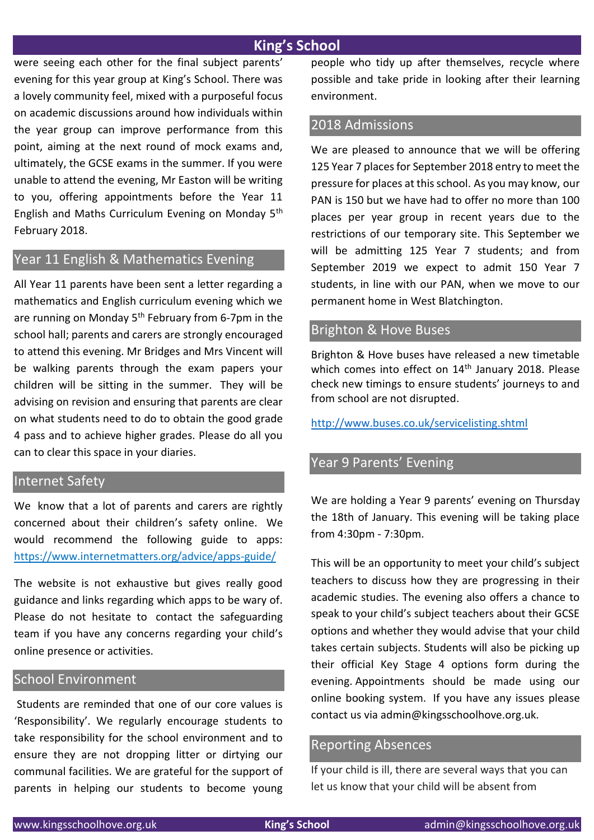## **King's School**

were seeing each other for the final subject parents' evening for this year group at King's School. There was a lovely community feel, mixed with a purposeful focus on academic discussions around how individuals within the year group can improve performance from this point, aiming at the next round of mock exams and, ultimately, the GCSE exams in the summer. If you were unable to attend the evening, Mr Easton will be writing to you, offering appointments before the Year 11 English and Maths Curriculum Evening on Monday 5th February 2018.

## Year 11 English & Mathematics Evening

All Year 11 parents have been sent a letter regarding a mathematics and English curriculum evening which we are running on Monday 5<sup>th</sup> February from 6-7pm in the school hall; parents and carers are strongly encouraged to attend this evening. Mr Bridges and Mrs Vincent will be walking parents through the exam papers your children will be sitting in the summer. They will be advising on revision and ensuring that parents are clear on what students need to do to obtain the good grade 4 pass and to achieve higher grades. Please do all you can to clear this space in your diaries.

#### Internet Safety

We know that a lot of parents and carers are rightly concerned about their children's safety online. We would recommend the following guide to apps: <https://www.internetmatters.org/advice/apps-guide/>

The website is not exhaustive but gives really good guidance and links regarding which apps to be wary of. Please do not hesitate to contact the safeguarding team if you have any concerns regarding your child's online presence or activities.

## School Environment

Students are reminded that one of our core values is 'Responsibility'. We regularly encourage students to take responsibility for the school environment and to ensure they are not dropping litter or dirtying our communal facilities. We are grateful for the support of parents in helping our students to become young people who tidy up after themselves, recycle where possible and take pride in looking after their learning environment.

## 2018 Admissions

We are pleased to announce that we will be offering 125 Year 7 places for September 2018 entry to meet the pressure for places at this school. As you may know, our PAN is 150 but we have had to offer no more than 100 places per year group in recent years due to the restrictions of our temporary site. This September we will be admitting 125 Year 7 students; and from September 2019 we expect to admit 150 Year 7 students, in line with our PAN, when we move to our permanent home in West Blatchington.

## Brighton & Hove Buses

Brighton & Hove buses have released a new timetable which comes into effect on 14<sup>th</sup> January 2018. Please check new timings to ensure students' journeys to and from school are not disrupted.

<http://www.buses.co.uk/servicelisting.shtml>

# Year 9 Parents' Evening

We are holding a Year 9 parents' evening on Thursday the 18th of January. This evening will be taking place from 4:30pm - 7:30pm.

This will be an opportunity to meet your child's subject teachers to discuss how they are progressing in their academic studies. The evening also offers a chance to speak to your child's subject teachers about their GCSE options and whether they would advise that your child takes certain subjects. Students will also be picking up their official Key Stage 4 options form during the evening. Appointments should be made using our online booking system. If you have any issues please contact us via admin@kingsschoolhove.org.uk.

### Reporting Absences

If your child is ill, there are several ways that you can let us know that your child will be absent from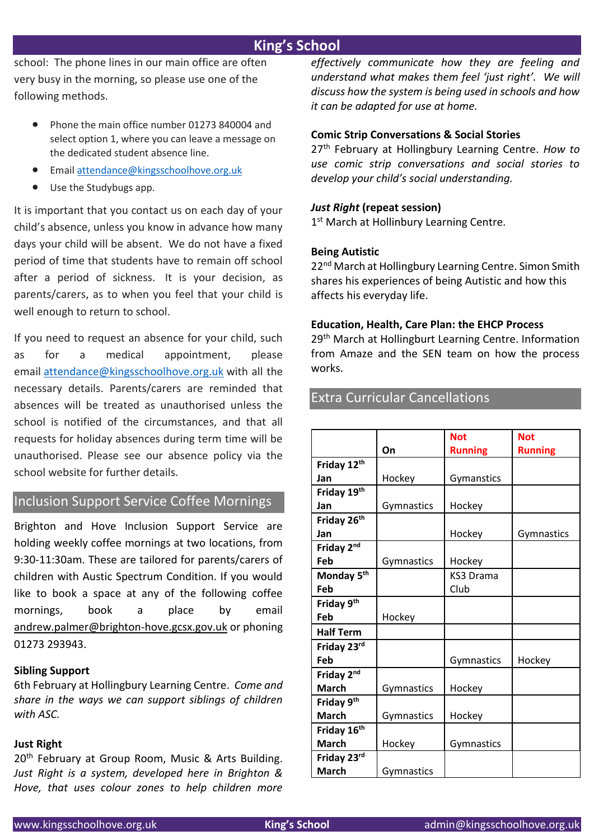# **King's School**

school: The phone lines in our main office are often very busy in the morning, so please use one of the following methods.

- Phone the main office number 01273 840004 and select option 1, where you can leave a message on the dedicated student absence line.
- Email [attendance@kingsschoolhove.org.uk](mailto:attendance@kingsschoolhove.org.uk)
- Use the Studybugs app.

It is important that you contact us on each day of your child's absence, unless you know in advance how many days your child will be absent. We do not have a fixed period of time that students have to remain off school after a period of sickness. It is your decision, as parents/carers, as to when you feel that your child is well enough to return to school.

If you need to request an absence for your child, such as for a medical appointment, please email [attendance@kingsschoolhove.org.uk](mailto:attendance@kingsschoolhove.org.uk) with all the necessary details. Parents/carers are reminded that absences will be treated as unauthorised unless the school is notified of the circumstances, and that all requests for holiday absences during term time will be unauthorised. Please see our absence policy via the school website for further details.

## Inclusion Support Service Coffee Mornings

Brighton and Hove Inclusion Support Service are holding weekly coffee mornings at two locations, from 9:30-11:30am. These are tailored for parents/carers of children with Austic Spectrum Condition. If you would like to book a space at any of the following coffee mornings, book a place by email [andrew.palmer@brighton-hove.gcsx.gov.uk](mailto:andrew.palmer@brighton-hove.gcsx.gov.uk) or phoning 01273 293943.

#### **Sibling Support**

6th February at Hollingbury Learning Centre. *Come and share in the ways we can support siblings of children with ASC.*

#### **Just Right**

20<sup>th</sup> February at Group Room, Music & Arts Building. *Just Right is a system, developed here in Brighton & Hove, that uses colour zones to help children more* 

*effectively communicate how they are feeling and understand what makes them feel 'just right'. We will discuss how the system is being used in schools and how it can be adapted for use at home.*

#### **Comic Strip Conversations & Social Stories**

27th February at Hollingbury Learning Centre. *How to use comic strip conversations and social stories to develop your child's social understanding.*

#### *Just Right* **(repeat session)**

1st March at Hollinbury Learning Centre.

#### **Being Autistic**

22<sup>nd</sup> March at Hollingbury Learning Centre. Simon Smith shares his experiences of being Autistic and how this affects his everyday life.

#### **Education, Health, Care Plan: the EHCP Process**

29<sup>th</sup> March at Hollingburt Learning Centre. Information from Amaze and the SEN team on how the process works.

### Extra Curricular Cancellations

|                        |            | <b>Not</b>       | <b>Not</b>     |
|------------------------|------------|------------------|----------------|
|                        | On         | <b>Running</b>   | <b>Running</b> |
| Friday 12th            |            |                  |                |
| Jan                    | Hockey     | Gymanstics       |                |
| Friday 19th            |            |                  |                |
| Jan                    | Gymnastics | Hockey           |                |
| Friday 26th            |            |                  |                |
| Jan                    |            | Hockey           | Gymnastics     |
| Friday 2nd             |            |                  |                |
| Feb                    | Gymnastics | Hockey           |                |
| Monday 5 <sup>th</sup> |            | <b>KS3 Drama</b> |                |
| Feb                    |            | Club             |                |
| Friday 9th             |            |                  |                |
| Feb                    | Hockey     |                  |                |
| <b>Half Term</b>       |            |                  |                |
| Friday 23rd            |            |                  |                |
| Feb                    |            | Gymnastics       | Hockey         |
| Friday 2nd             |            |                  |                |
| <b>March</b>           | Gymnastics | Hockey           |                |
| Friday 9th             |            |                  |                |
| <b>March</b>           | Gymnastics | Hockey           |                |
| Friday 16th            |            |                  |                |
| <b>March</b>           | Hockey     | Gymnastics       |                |
| Friday 23rd            |            |                  |                |
| <b>March</b>           | Gymnastics |                  |                |